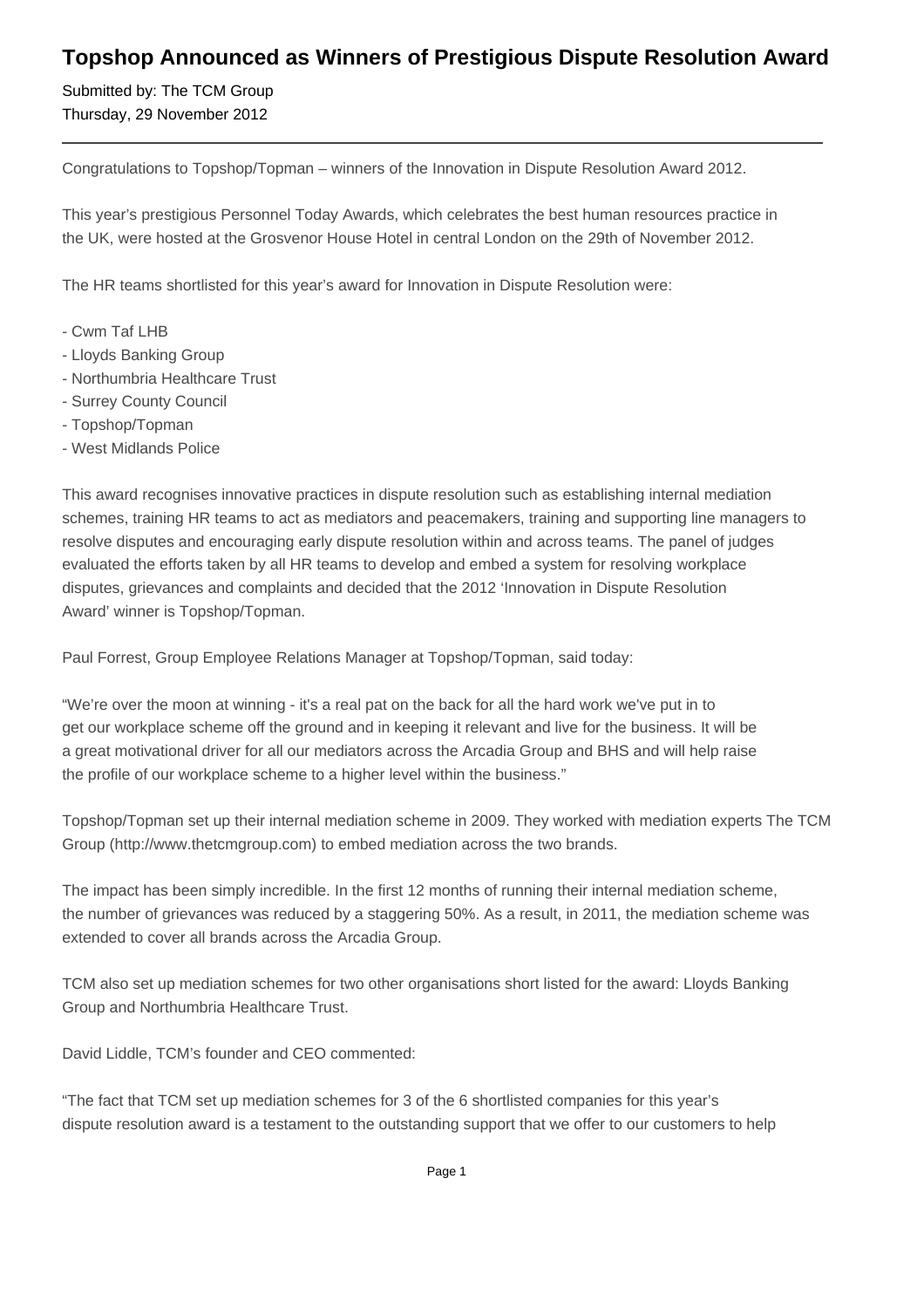## **Topshop Announced as Winners of Prestigious Dispute Resolution Award**

Submitted by: The TCM Group Thursday, 29 November 2012

Congratulations to Topshop/Topman – winners of the Innovation in Dispute Resolution Award 2012.

This year's prestigious Personnel Today Awards, which celebrates the best human resources practice in the UK, were hosted at the Grosvenor House Hotel in central London on the 29th of November 2012.

The HR teams shortlisted for this year's award for Innovation in Dispute Resolution were:

- Cwm Taf LHB
- Lloyds Banking Group
- Northumbria Healthcare Trust
- Surrey County Council
- Topshop/Topman
- West Midlands Police

This award recognises innovative practices in dispute resolution such as establishing internal mediation schemes, training HR teams to act as mediators and peacemakers, training and supporting line managers to resolve disputes and encouraging early dispute resolution within and across teams. The panel of judges evaluated the efforts taken by all HR teams to develop and embed a system for resolving workplace disputes, grievances and complaints and decided that the 2012 'Innovation in Dispute Resolution Award' winner is Topshop/Topman.

Paul Forrest, Group Employee Relations Manager at Topshop/Topman, said today:

"We're over the moon at winning - it's a real pat on the back for all the hard work we've put in to get our workplace scheme off the ground and in keeping it relevant and live for the business. It will be a great motivational driver for all our mediators across the Arcadia Group and BHS and will help raise the profile of our workplace scheme to a higher level within the business."

Topshop/Topman set up their internal mediation scheme in 2009. They worked with mediation experts The TCM Group (http://www.thetcmgroup.com) to embed mediation across the two brands.

The impact has been simply incredible. In the first 12 months of running their internal mediation scheme, the number of grievances was reduced by a staggering 50%. As a result, in 2011, the mediation scheme was extended to cover all brands across the Arcadia Group.

TCM also set up mediation schemes for two other organisations short listed for the award: Lloyds Banking Group and Northumbria Healthcare Trust.

David Liddle, TCM's founder and CEO commented:

"The fact that TCM set up mediation schemes for 3 of the 6 shortlisted companies for this year's dispute resolution award is a testament to the outstanding support that we offer to our customers to help